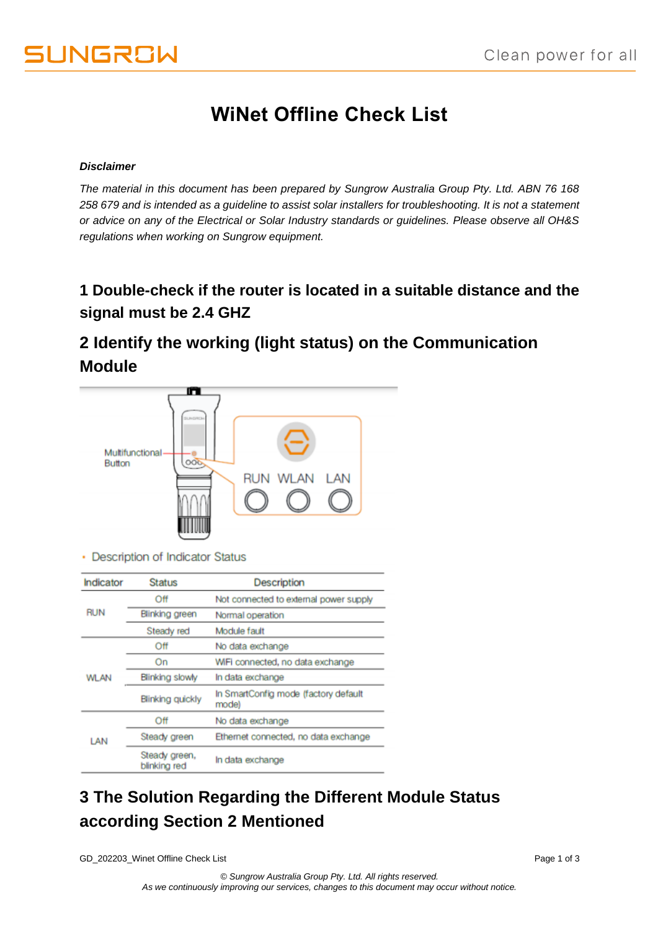# **WiNet Offline Check List**

#### *Disclaimer*

*The material in this document has been prepared by Sungrow Australia Group Pty. Ltd. ABN 76 168 258 679 and is intended as a guideline to assist solar installers for troubleshooting. It is not a statement or advice on any of the Electrical or Solar Industry standards or guidelines. Please observe all OH&S regulations when working on Sungrow equipment.*

#### **1 Double-check if the router is located in a suitable distance and the signal must be 2.4 GHZ**

## **2 Identify the working (light status) on the Communication Module**



• Description of Indicator Status

| Indicator   | <b>Status</b>                 | Description                                   |  |
|-------------|-------------------------------|-----------------------------------------------|--|
| <b>RUN</b>  | Off                           | Not connected to external power supply        |  |
|             | Blinking green                | Normal operation                              |  |
|             | Steady red                    | Module fault                                  |  |
| <b>WLAN</b> | Off                           | No data exchange                              |  |
|             | On                            | WiFi connected, no data exchange              |  |
|             | Blinking slowly               | In data exchange                              |  |
|             | <b>Blinking quickly</b>       | In SmartConfig mode (factory default<br>mode) |  |
| LAN         | Off                           | No data exchange                              |  |
|             | Steady green                  | Ethemet connected, no data exchange           |  |
|             | Steady green,<br>blinking red | In data exchange                              |  |

## **3 The Solution Regarding the Different Module Status according Section 2 Mentioned**

GD\_202203\_Winet Offline Check List **Page 1 of 3** and 202203\_Winet Offline Check List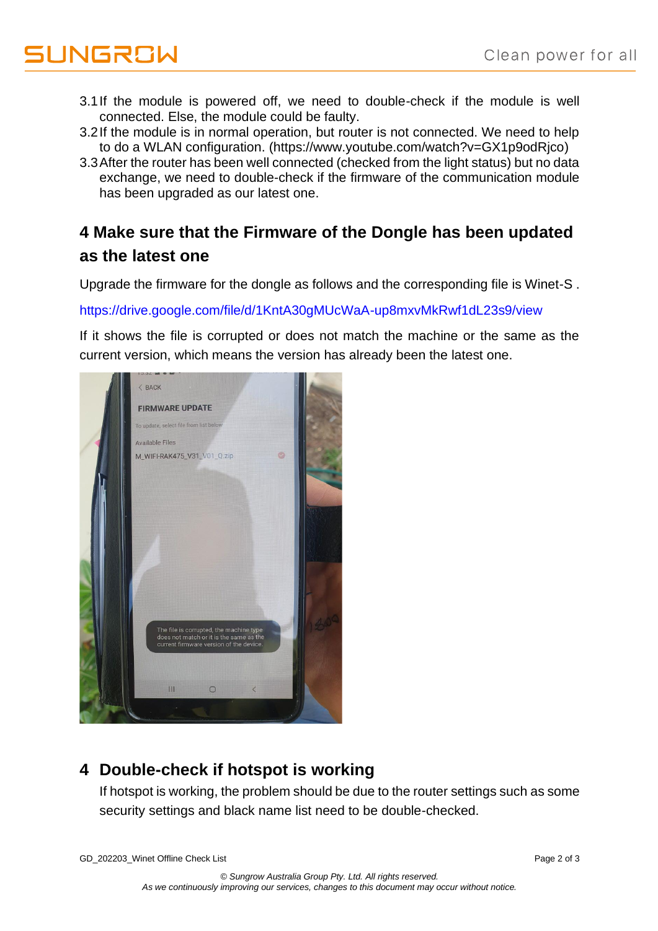# **UNGROW**

- 3.1If the module is powered off, we need to double-check if the module is well connected. Else, the module could be faulty.
- 3.2If the module is in normal operation, but router is not connected. We need to help to do a WLAN configuration. (https://www.youtube.com/watch?v=GX1p9odRjco)
- 3.3After the router has been well connected (checked from the light status) but no data exchange, we need to double-check if the firmware of the communication module has been upgraded as our latest one.

## **4 Make sure that the Firmware of the Dongle has been updated as the latest one**

Upgrade the firmware for the dongle as follows and the corresponding file is Winet-S .

<https://drive.google.com/file/d/1KntA30gMUcWaA-up8mxvMkRwf1dL23s9/view>

If it shows the file is corrupted or does not match the machine or the same as the current version, which means the version has already been the latest one.



## **4 Double-check if hotspot is working**

If hotspot is working, the problem should be due to the router settings such as some security settings and black name list need to be double-checked.